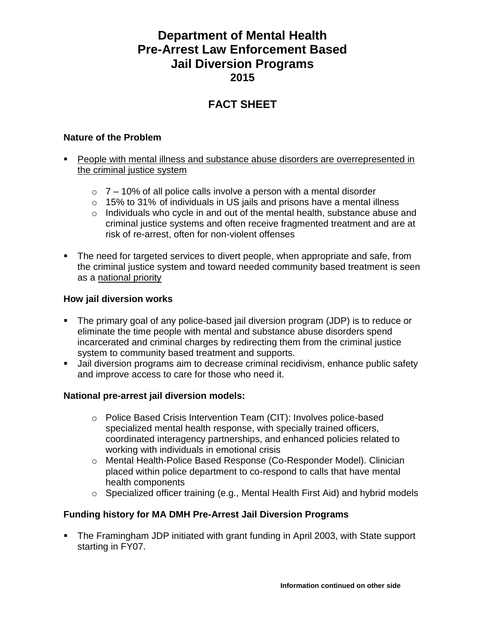# **Department of Mental Health Pre-Arrest Law Enforcement Based Jail Diversion Programs 2015**

# **FACT SHEET**

#### **Nature of the Problem**

- People with mental illness and substance abuse disorders are overrepresented in the criminal justice system
	- $\circ$  7 10% of all police calls involve a person with a mental disorder
	- o 15% to 31% of individuals in US jails and prisons have a mental illness
	- o Individuals who cycle in and out of the mental health, substance abuse and criminal justice systems and often receive fragmented treatment and are at risk of re-arrest, often for non-violent offenses
- The need for targeted services to divert people, when appropriate and safe, from the criminal justice system and toward needed community based treatment is seen as a national priority

#### **How jail diversion works**

- The primary goal of any police-based jail diversion program (JDP) is to reduce or eliminate the time people with mental and substance abuse disorders spend incarcerated and criminal charges by redirecting them from the criminal justice system to community based treatment and supports.
- Jail diversion programs aim to decrease criminal recidivism, enhance public safety and improve access to care for those who need it.

### **National pre-arrest jail diversion models:**

- o Police Based Crisis Intervention Team (CIT): Involves police-based specialized mental health response, with specially trained officers, coordinated interagency partnerships, and enhanced policies related to working with individuals in emotional crisis
- o Mental Health-Police Based Response (Co-Responder Model). Clinician placed within police department to co-respond to calls that have mental health components
- o Specialized officer training (e.g., Mental Health First Aid) and hybrid models

### **Funding history for MA DMH Pre-Arrest Jail Diversion Programs**

 The Framingham JDP initiated with grant funding in April 2003, with State support starting in FY07.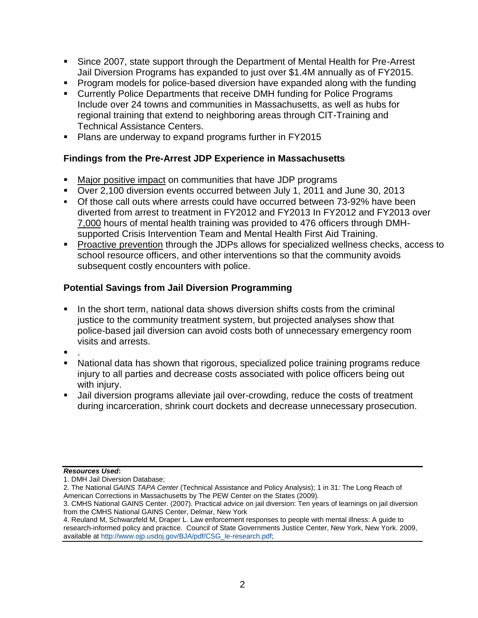- Since 2007, state support through the Department of Mental Health for Pre-Arrest Jail Diversion Programs has expanded to just over \$1.4M annually as of FY2015.
- Program models for police-based diversion have expanded along with the funding
- Currently Police Departments that receive DMH funding for Police Programs Include over 24 towns and communities in Massachusetts, as well as hubs for regional training that extend to neighboring areas through CIT-Training and Technical Assistance Centers.
- **Plans are underway to expand programs further in FY2015**

## **Findings from the Pre-Arrest JDP Experience in Massachusetts**

- Major positive impact on communities that have JDP programs
- Over 2,100 diversion events occurred between July 1, 2011 and June 30, 2013
- Of those call outs where arrests could have occurred between 73-92% have been diverted from arrest to treatment in FY2012 and FY2013 In FY2012 and FY2013 over 7,000 hours of mental health training was provided to 476 officers through DMHsupported Crisis Intervention Team and Mental Health First Aid Training.
- **Proactive prevention through the JDPs allows for specialized wellness checks, access to** school resource officers, and other interventions so that the community avoids subsequent costly encounters with police.

### **Potential Savings from Jail Diversion Programming**

- In the short term, national data shows diversion shifts costs from the criminal justice to the community treatment system, but projected analyses show that police-based jail diversion can avoid costs both of unnecessary emergency room visits and arrests.
- .
- National data has shown that rigorous, specialized police training programs reduce injury to all parties and decrease costs associated with police officers being out with injury.
- Jail diversion programs alleviate jail over-crowding, reduce the costs of treatment during incarceration, shrink court dockets and decrease unnecessary prosecution.

#### *Resources Used***:**

<sup>1.</sup> DMH Jail Diversion Database;

<sup>2.</sup> The National *GAINS TAPA Center* (Technical Assistance and Policy Analysis); 1 in 31: The Long Reach of American Corrections in Massachusetts by The PEW Center on the States (2009).

<sup>3.</sup> CMHS National GAINS Center. (2007). Practical advice on jail diversion: Ten years of learnings on jail diversion from the CMHS National GAINS Center, Delmar, New York

<sup>4.</sup> Reuland M, Schwarzfeld M, Draper L. Law enforcement responses to people with mental illness: A guide to research-informed policy and practice. Council of State Governments Justice Center, New York, New York. 2009, available at [http://www.ojp.usdoj.gov/BJA/pdf/CSG\\_le-research.pdf;](http://www.ojp.usdoj.gov/BJA/pdf/CSG_le-research.pdf)